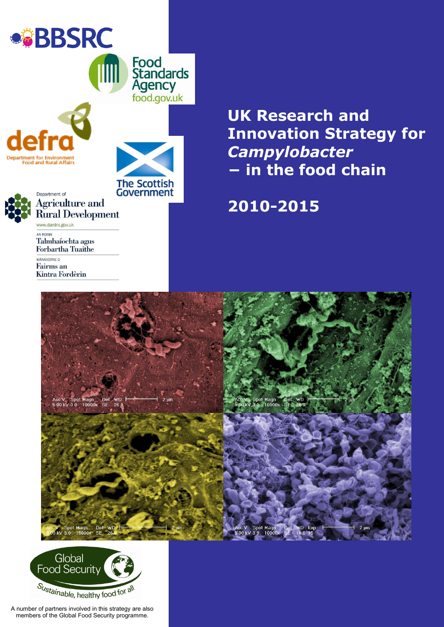

Kintra Fordèrin

**Innovation Strategy for** *Campylobacter −* **in the food chain**

# **2010-2015**





A number of partners involved in this strategy are also members of the Global Food Security programme.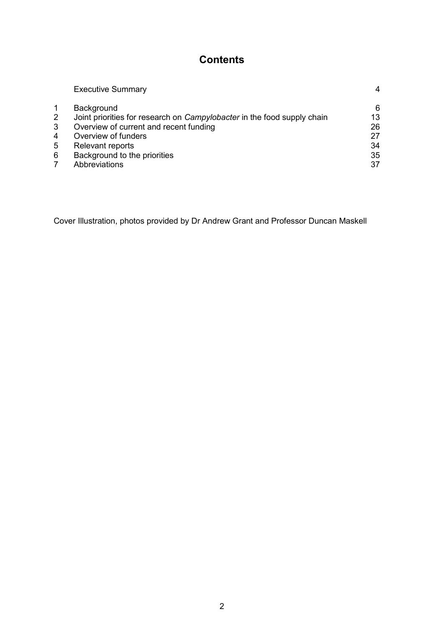# **Contents**

|              | <b>Executive Summary</b>                                                | 4  |
|--------------|-------------------------------------------------------------------------|----|
|              | Background                                                              | 6  |
| $\mathbf{2}$ | Joint priorities for research on Campylobacter in the food supply chain | 13 |
| 3            | Overview of current and recent funding                                  | 26 |
| 4            | Overview of funders                                                     | 27 |
| 5            | Relevant reports                                                        | 34 |
| 6            | Background to the priorities                                            | 35 |
|              | Abbreviations                                                           | 37 |

Cover Illustration, photos provided by Dr Andrew Grant and Professor Duncan Maskell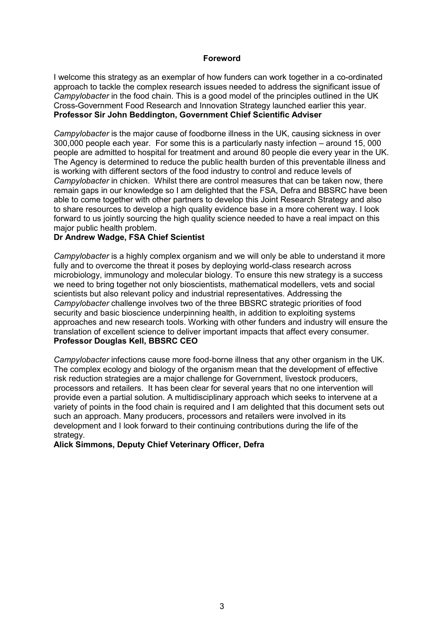#### **Foreword**

I welcome this strategy as an exemplar of how funders can work together in a co-ordinated approach to tackle the complex research issues needed to address the significant issue of *Campylobacter* in the food chain. This is a good model of the principles outlined in the UK Cross-Government Food Research and Innovation Strategy launched earlier this year. **Professor Sir John Beddington, Government Chief Scientific Adviser** 

*Campylobacter* is the major cause of foodborne illness in the UK, causing sickness in over 300,000 people each year. For some this is a particularly nasty infection – around 15, 000 people are admitted to hospital for treatment and around 80 people die every year in the UK. The Agency is determined to reduce the public health burden of this preventable illness and is working with different sectors of the food industry to control and reduce levels of *Campylobacter* in chicken. Whilst there are control measures that can be taken now, there remain gaps in our knowledge so I am delighted that the FSA, Defra and BBSRC have been able to come together with other partners to develop this Joint Research Strategy and also to share resources to develop a high quality evidence base in a more coherent way. I look forward to us jointly sourcing the high quality science needed to have a real impact on this major public health problem.

#### **Dr Andrew Wadge, FSA Chief Scientist**

*Campylobacter* is a highly complex organism and we will only be able to understand it more fully and to overcome the threat it poses by deploying world-class research across microbiology, immunology and molecular biology. To ensure this new strategy is a success we need to bring together not only bioscientists, mathematical modellers, vets and social scientists but also relevant policy and industrial representatives. Addressing the *Campylobacter* challenge involves two of the three BBSRC strategic priorities of food security and basic bioscience underpinning health, in addition to exploiting systems approaches and new research tools. Working with other funders and industry will ensure the translation of excellent science to deliver important impacts that affect every consumer. **Professor Douglas Kell, BBSRC CEO**

*Campylobacter* infections cause more food-borne illness that any other organism in the UK. The complex ecology and biology of the organism mean that the development of effective risk reduction strategies are a major challenge for Government, livestock producers, processors and retailers. It has been clear for several years that no one intervention will provide even a partial solution. A multidisciplinary approach which seeks to intervene at a variety of points in the food chain is required and I am delighted that this document sets out such an approach. Many producers, processors and retailers were involved in its development and I look forward to their continuing contributions during the life of the strategy.

#### **Alick Simmons, Deputy Chief Veterinary Officer, Defra**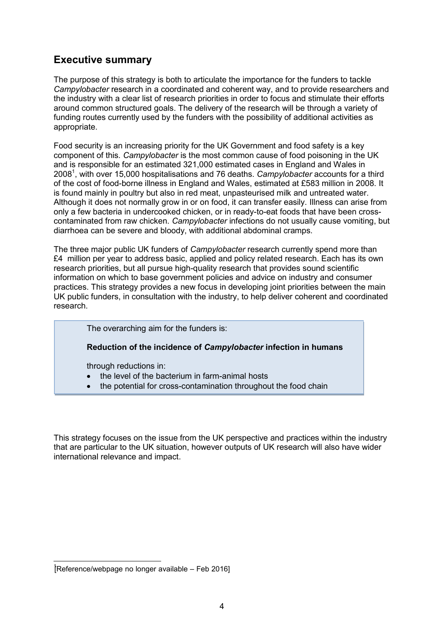# **Executive summary**

The purpose of this strategy is both to articulate the importance for the funders to tackle *Campylobacter* research in a coordinated and coherent way, and to provide researchers and the industry with a clear list of research priorities in order to focus and stimulate their efforts around common structured goals. The delivery of the research will be through a variety of funding routes currently used by the funders with the possibility of additional activities as appropriate.

Food security is an increasing priority for the UK Government and food safety is a key component of this*. Campylobacter* is the most common cause of food poisoning in the UK and is responsible for an estimated 321,000 estimated cases in England and Wales in 2008<sup>1</sup> , with over 15,000 hospitalisations and 76 deaths. *Campylobacter* accounts for a third of the cost of food-borne illness in England and Wales, estimated at £583 million in 2008. It is found mainly in poultry but also in red meat, unpasteurised milk and untreated water. Although it does not normally grow in or on food, it can transfer easily. Illness can arise from only a few bacteria in undercooked chicken, or in ready-to-eat foods that have been crosscontaminated from raw chicken. *Campylobacter* infections do not usually cause vomiting, but diarrhoea can be severe and bloody, with additional abdominal cramps.

The three major public UK funders of *Campylobacter* research currently spend more than £4 million per year to address basic, applied and policy related research. Each has its own research priorities, but all pursue high-quality research that provides sound scientific information on which to base government policies and advice on industry and consumer practices. This strategy provides a new focus in developing joint priorities between the main UK public funders, in consultation with the industry, to help deliver coherent and coordinated research.

The overarching aim for the funders is:

#### **Reduction of the incidence of** *Campylobacter* **infection in humans**

through reductions in:

- the level of the bacterium in farm-animal hosts
- the potential for cross-contamination throughout the food chain

This strategy focuses on the issue from the UK perspective and practices within the industry that are particular to the UK situation, however outputs of UK research will also have wider international relevance and impact.

<sup>1</sup> [Reference/webpage no longer available – Feb 2016]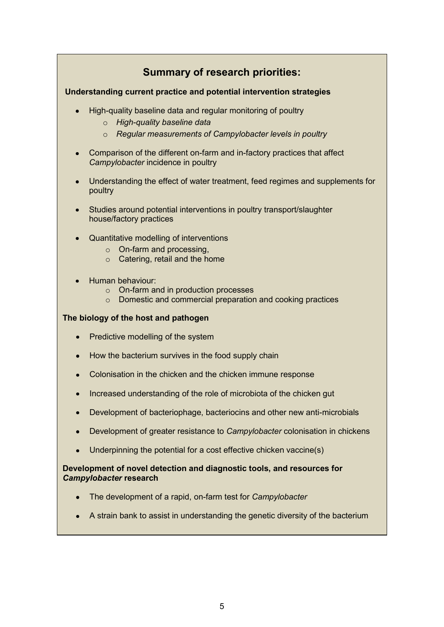# **Summary of research priorities:**

## **Understanding current practice and potential intervention strategies**

- High-quality baseline data and regular monitoring of poultry
	- o *High-quality baseline data*
	- o *Regular measurements of Campylobacter levels in poultry*
- Comparison of the different on-farm and in-factory practices that affect *Campylobacter* incidence in poultry
- Understanding the effect of water treatment, feed regimes and supplements for poultry
- Studies around potential interventions in poultry transport/slaughter house/factory practices
- Quantitative modelling of interventions
	- o On-farm and processing,
	- $\circ$  Catering, retail and the home
- Human behaviour:
	- o On-farm and in production processes
	- o Domestic and commercial preparation and cooking practices

#### **The biology of the host and pathogen**

- Predictive modelling of the system
- How the bacterium survives in the food supply chain
- Colonisation in the chicken and the chicken immune response
- Increased understanding of the role of microbiota of the chicken gut
- Development of bacteriophage, bacteriocins and other new anti-microbials
- Development of greater resistance to *Campylobacter* colonisation in chickens
- Underpinning the potential for a cost effective chicken vaccine(s)

### **Development of novel detection and diagnostic tools, and resources for**  *Campylobacter* **research**

- The development of a rapid, on-farm test for *Campylobacter*
- A strain bank to assist in understanding the genetic diversity of the bacterium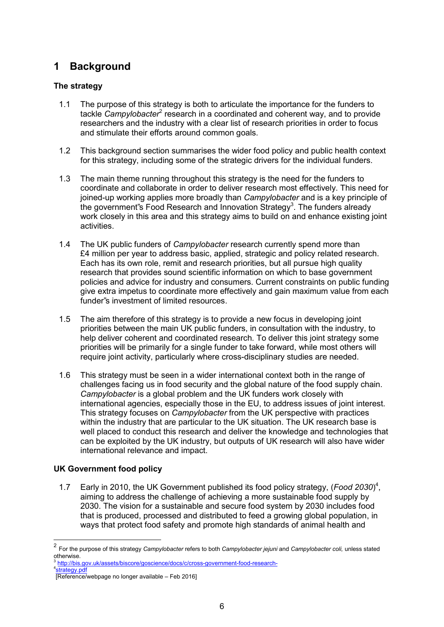# <span id="page-5-0"></span>**1 Background**

# **The strategy**

- 1.1 The purpose of this strategy is both to articulate the importance for the funders to tackle *Campylobacter<sup>2</sup>* research in a coordinated and coherent way, and to provide researchers and the industry with a clear list of research priorities in order to focus and stimulate their efforts around common goals.
- 1.2 This background section summarises the wider food policy and public health context for this strategy, including some of the strategic drivers for the individual funders.
- 1.3 The main theme running throughout this strategy is the need for the funders to coordinate and collaborate in order to deliver research most effectively. This need for joined-up working applies more broadly than *Campylobacter* and is a key principle of the government"s Food Research and Innovation Strategy<sup>3</sup>. The funders already work closely in this area and this strategy aims to build on and enhance existing joint activities.
- 1.4 The UK public funders of *Campylobacter* research currently spend more than £4 million per year to address basic, applied, strategic and policy related research. Each has its own role, remit and research priorities, but all pursue high quality research that provides sound scientific information on which to base government policies and advice for industry and consumers. Current constraints on public funding give extra impetus to coordinate more effectively and gain maximum value from each funder"s investment of limited resources.
- 1.5 The aim therefore of this strategy is to provide a new focus in developing joint priorities between the main UK public funders, in consultation with the industry, to help deliver coherent and coordinated research. To deliver this joint strategy some priorities will be primarily for a single funder to take forward, while most others will require joint activity, particularly where cross-disciplinary studies are needed.
- 1.6 This strategy must be seen in a wider international context both in the range of challenges facing us in food security and the global nature of the food supply chain. *Campylobacter* is a global problem and the UK funders work closely with international agencies, especially those in the EU, to address issues of joint interest. This strategy focuses on *Campylobacter* from the UK perspective with practices within the industry that are particular to the UK situation. The UK research base is well placed to conduct this research and deliver the knowledge and technologies that can be exploited by the UK industry, but outputs of UK research will also have wider international relevance and impact.

# **UK Government food policy**

1.7 Early in 2010, the UK Government published its food policy strategy, (*Food 2030*) 4 , aiming to address the challenge of achieving a more sustainable food supply by 2030. The vision for a sustainable and secure food system by 2030 includes food that is produced, processed and distributed to feed a growing global population, in ways that protect food safety and promote high standards of animal health and

<sup>2</sup> For the purpose of this strategy *Campylobacter* refers to both *Campylobacter jejuni* and *Campylobacter coli,* unless stated otherwise.<br><sup>3</sup> http://bio.

[http://bis.gov.uk/assets/biscore/goscience/docs/c/cross-government-food-research-](http://bis.gov.uk/assets/biscore/goscience/docs/c/cross-government-food-research-strategy.pdf)

<sup>4</sup> strategy.pdf

<sup>[</sup>Reference/webpage no longer available – Feb 2016]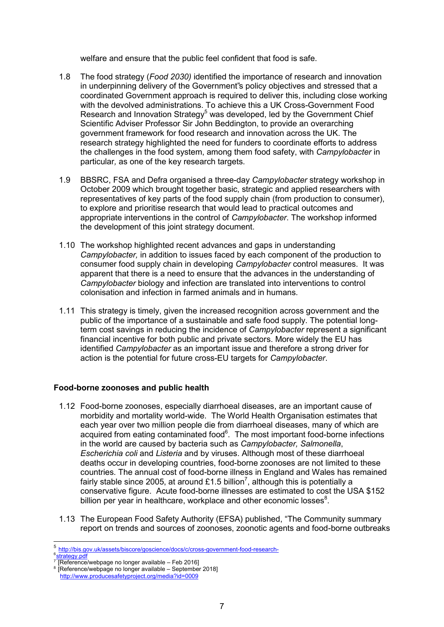welfare and ensure that the public feel confident that food is safe.

- 1.8 The food strategy (*Food 2030)* identified the importance of research and innovation in underpinning delivery of the Government"s policy objectives and stressed that a coordinated Government approach is required to deliver this, including close working with the devolved administrations. To achieve this a UK Cross-Government Food Research and Innovation Strategy<sup>5</sup> was developed, led by the Government Chief Scientific Adviser Professor Sir John Beddington, to provide an overarching government framework for food research and innovation across the UK. The research strategy highlighted the need for funders to coordinate efforts to address the challenges in the food system, among them food safety, with *Campylobacter* in particular*,* as one of the key research targets.
- 1.9 BBSRC, FSA and Defra organised a three-day *Campylobacter* strategy workshop in October 2009 which brought together basic, strategic and applied researchers with representatives of key parts of the food supply chain (from production to consumer), to explore and prioritise research that would lead to practical outcomes and appropriate interventions in the control of *Campylobacter*. The workshop informed the development of this joint strategy document.
- 1.10 The workshop highlighted recent advances and gaps in understanding *Campylobacter,* in addition to issues faced by each component of the production to consumer food supply chain in developing *Campylobacter* control measures. It was apparent that there is a need to ensure that the advances in the understanding of *Campylobacter* biology and infection are translated into interventions to control colonisation and infection in farmed animals and in humans.
- 1.11 This strategy is timely, given the increased recognition across government and the public of the importance of a sustainable and safe food supply. The potential longterm cost savings in reducing the incidence of *Campylobacter* represent a significant financial incentive for both public and private sectors. More widely the EU has identified *Campylobacter* as an important issue and therefore a strong driver for action is the potential for future cross-EU targets for *Campylobacter*.

# **Food-borne zoonoses and public health**

- 1.12 Food-borne zoonoses, especially diarrhoeal diseases, are an important cause of morbidity and mortality world-wide. The World Health Organisation estimates that each year over two million people die from diarrhoeal diseases, many of which are acquired from eating contaminated food<sup>6</sup>. The most important food-borne infections in the world are caused by bacteria such as *Campylobacter, Salmonella*, *Escherichia coli* and *Listeria* and by viruses. Although most of these diarrhoeal deaths occur in developing countries, food-borne zoonoses are not limited to these countries. The annual cost of food-borne illness in England and Wales has remained fairly stable since 2005, at around £1.5 billion<sup>7</sup>, although this is potentially a conservative figure. Acute food-borne illnesses are estimated to cost the USA \$152 billion per year in healthcare, workplace and other economic losses $8$ .
- 1.13 The European Food Safety Authority (EFSA) published, "The Community summary report on trends and sources of zoonoses, zoonotic agents and food-borne outbreaks

<sup>5</sup> [http://bis.gov.uk/assets/biscore/goscience/docs/c/cross-government-food-research-](http://bis.gov.uk/assets/biscore/goscience/docs/c/cross-government-food-research-strategy.pdf)

<sup>6</sup> strategy.pdf

<sup>7</sup> mang near<br>[Reference/webpage no longer available – Feb 2016]

<sup>8</sup> [Reference/webpage no longer available – September 2018] http://www.producesafetyproject.org/media?id=0009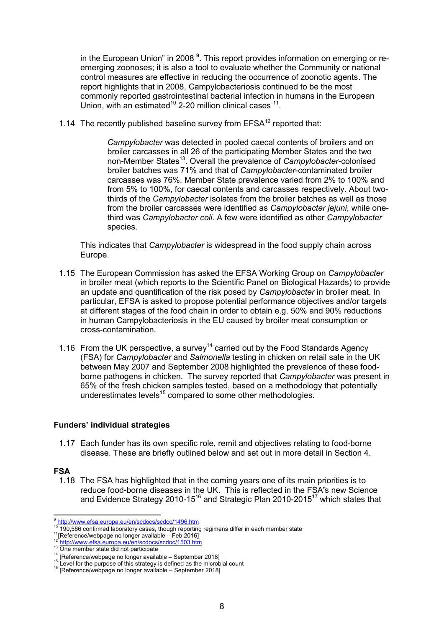in the European Union" in 2008 **<sup>9</sup>** . This report provides information on emerging or reemerging zoonoses; it is also a tool to evaluate whether the Community or national control measures are effective in reducing the occurrence of zoonotic agents. The report highlights that in 2008, Campylobacteriosis continued to be the most commonly reported gastrointestinal bacterial infection in humans in the European Union, with an estimated<sup>10</sup> 2-20 million clinical cases  $11$ .

1.14 The recently published baseline survey from  $EFSA<sup>12</sup>$  reported that:

*Campylobacter* was detected in pooled caecal contents of broilers and on broiler carcasses in all 26 of the participating Member States and the two non-Member States<sup>13</sup>. Overall the prevalence of *Campylobacter*-colonised broiler batches was 71% and that of *Campylobacter*-contaminated broiler carcasses was 76%. Member State prevalence varied from 2% to 100% and from 5% to 100%, for caecal contents and carcasses respectively. About twothirds of the *Campylobacter* isolates from the broiler batches as well as those from the broiler carcasses were identified as *Campylobacter jejuni*, while onethird was *Campylobacter coli*. A few were identified as other *Campylobacter*  species.

This indicates that *Campylobacter* is widespread in the food supply chain across Europe.

- 1.15 The European Commission has asked the EFSA Working Group on *Campylobacter* in broiler meat (which reports to the Scientific Panel on Biological Hazards) to provide an update and quantification of the risk posed by *Campylobacter* in broiler meat. In particular, EFSA is asked to propose potential performance objectives and/or targets at different stages of the food chain in order to obtain e.g. 50% and 90% reductions in human Campylobacteriosis in the EU caused by broiler meat consumption or cross-contamination.
- 1.16 From the UK perspective, a survey<sup>14</sup> carried out by the Food Standards Agency (FSA) for *Campylobacter* and *Salmonella* testing in chicken on retail sale in the UK between May 2007 and September 2008 highlighted the prevalence of these foodborne pathogens in chicken. The survey reported that *Campylobacter* was present in 65% of the fresh chicken samples tested, based on a methodology that potentially underestimates levels<sup>15</sup> compared to some other methodologies.

#### **Funders' individual strategies**

1.17 Each funder has its own specific role, remit and objectives relating to food-borne disease. These are briefly outlined below and set out in more detail in Section 4.

#### **FSA**

1.18 The FSA has highlighted that in the coming years one of its main priorities is to reduce food-borne diseases in the UK. This is reflected in the FSA"s new Science and Evidence Strategy 2010-15<sup>16</sup> and Strategic Plan 2010-2015<sup>17</sup> which states that

<sup>9</sup> <http://www.efsa.europa.eu/en/scdocs/scdoc/1496.htm>

<sup>10</sup> 190,566 confirmed laboratory cases, though reporting regimens differ in each member state

<sup>11</sup> <sup>11</sup>[Reference/webpage no longer available – Feb 2016]<br><sup>12</sup> http://www.efsa.ouropa.ou/on/scdoss/scdos/1503.htm

<http://www.efsa.europa.eu/en/scdocs/scdoc/1503.htm>

<sup>&</sup>lt;sup>13</sup> One member state did not participate 14

<sup>&</sup>lt;sup>14</sup> [Reference/webpage no longer available – September 2018]<br><sup>15</sup> Laugh fan the numeres of this attacks used final as the misral

Level for the purpose of this strategy is defined as the microbial count

<sup>&</sup>lt;sup>16</sup> [Reference/webpage no longer available - September 2018]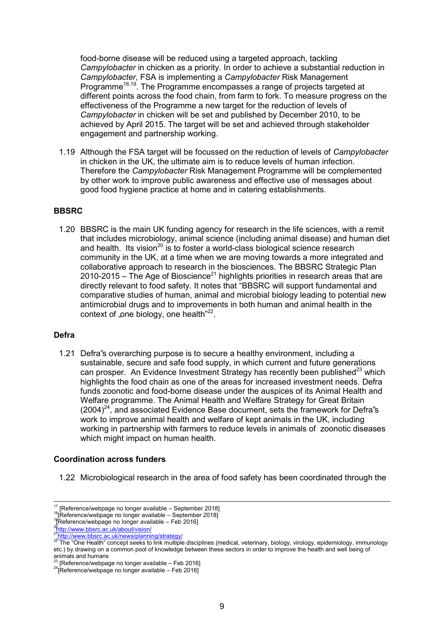food-borne disease will be reduced using a targeted approach, tackling *Campylobacter* in chicken as a priority. In order to achieve a substantial reduction in *Campylobacter*, FSA is implementing a *Campylobacter* Risk Management Programme<sup>18,19</sup>. The Programme encompasses a range of projects targeted at different points across the food chain, from farm to fork. To measure progress on the effectiveness of the Programme a new target for the reduction of levels of *Campylobacter* in chicken will be set and published by December 2010, to be achieved by April 2015. The target will be set and achieved through stakeholder engagement and partnership working.

1.19 Although the FSA target will be focussed on the reduction of levels of *Campylobacter*  in chicken in the UK, the ultimate aim is to reduce levels of human infection. Therefore the *Campylobacter* Risk Management Programme will be complemented by other work to improve public awareness and effective use of messages about good food hygiene practice at home and in catering establishments.

#### **BBSRC**

1.20 BBSRC is the main UK funding agency for research in the life sciences, with a remit that includes microbiology, animal science (including animal disease) and human diet and health. Its vision<sup>20</sup> is to foster a world-class biological science research community in the UK, at a time when we are moving towards a more integrated and collaborative approach to research in the biosciences. The BBSRC Strategic Plan 2010-2015 – The Age of Bioscience<sup>21</sup> highlights priorities in research areas that are directly relevant to food safety. It notes that "BBSRC will support fundamental and comparative studies of human, animal and microbial biology leading to potential new antimicrobial drugs and to improvements in both human and animal health in the context of "one biology, one health" $^{22}$ .

#### **Defra**

1.21 Defra"s overarching purpose is to secure a healthy environment, including a sustainable, secure and safe food supply, in which current and future generations can prosper. An Evidence Investment Strategy has recently been published<sup>23</sup> which highlights the food chain as one of the areas for increased investment needs. Defra funds zoonotic and food-borne disease under the auspices of its Animal Health and Welfare programme. The Animal Health and Welfare Strategy for Great Britain  $(2004)^{24}$ , and associated Evidence Base document, sets the framework for Defra's work to improve animal health and welfare of kept animals in the UK, including working in partnership with farmers to reduce levels in animals of zoonotic diseases which might impact on human health.

# **Coordination across funders**

1.22 Microbiological research in the area of food safety has been coordinated through the

 $\frac{17}{17}$  [Reference/webpage no longer available – September 2018]

<sup>18</sup> [Reference/webpage no longer available – September 2018]

<sup>19</sup> [Reference/webpage no longer available – Feb 2016]

<sup>20</sup> <http://www.bbsrc.ac.uk/about/vision/>

<sup>&</sup>lt;sup>21</sup><http://www.bbsrc.ac.uk/news/planning/strategy/>

<sup>&</sup>lt;sup>22</sup> The "One Health" concept seeks to link multiple disciplines (medical, veterinary, biology, virology, epidemiology, immunology etc.) by drawing on a common pool of knowledge between these sectors in order to improve the health and well being of

animals and humans<br><sup>23</sup> [Reference/webpage no longer available – Feb 2016]

 $24$ [Reference/webpage no longer available - Feb 2016]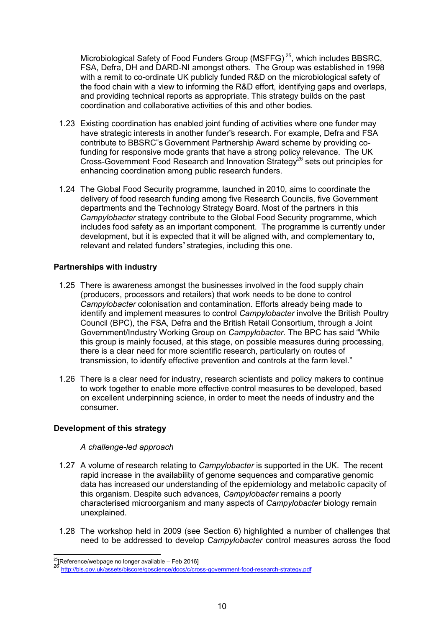Microbiological Safety of Food Funders Group (MSFFG) <sup>25</sup>, which includes BBSRC, FSA, Defra, DH and DARD-NI amongst others. The Group was established in 1998 with a remit to co-ordinate UK publicly funded R&D on the microbiological safety of the food chain with a view to informing the R&D effort, identifying gaps and overlaps, and providing technical reports as appropriate. This strategy builds on the past coordination and collaborative activities of this and other bodies.

- 1.23 Existing coordination has enabled joint funding of activities where one funder may have strategic interests in another funder"s research. For example, Defra and FSA contribute to BBSRC"s Government Partnership Award scheme by providing cofunding for responsive mode grants that have a strong policy relevance. The UK Cross-Government Food Research and Innovation Strategy<sup>26</sup> sets out principles for enhancing coordination among public research funders.
- 1.24 The Global Food Security programme, launched in 2010, aims to coordinate the delivery of food research funding among five Research Councils, five Government departments and the Technology Strategy Board. Most of the partners in this *Campylobacter* strategy contribute to the Global Food Security programme, which includes food safety as an important component. The programme is currently under development, but it is expected that it will be aligned with, and complementary to, relevant and related funders" strategies, including this one.

#### **Partnerships with industry**

- 1.25 There is awareness amongst the businesses involved in the food supply chain (producers, processors and retailers) that work needs to be done to control *Campylobacter* colonisation and contamination. Efforts already being made to identify and implement measures to control *Campylobacter* involve the British Poultry Council (BPC), the FSA, Defra and the British Retail Consortium, through a Joint Government/Industry Working Group on *Campylobacter*. The BPC has said "While this group is mainly focused, at this stage, on possible measures during processing, there is a clear need for more scientific research, particularly on routes of transmission, to identify effective prevention and controls at the farm level."
- 1.26 There is a clear need for industry, research scientists and policy makers to continue to work together to enable more effective control measures to be developed, based on excellent underpinning science, in order to meet the needs of industry and the consumer.

#### **Development of this strategy**

#### *A challenge-led approach*

- 1.27 A volume of research relating to *Campylobacter* is supported in the UK. The recent rapid increase in the availability of genome sequences and comparative genomic data has increased our understanding of the epidemiology and metabolic capacity of this organism. Despite such advances, *Campylobacter* remains a poorly characterised microorganism and many aspects of *Campylobacter* biology remain unexplained.
- 1.28 The workshop held in 2009 (see Section 6) highlighted a number of challenges that need to be addressed to develop *Campylobacter* control measures across the food

<sup>&</sup>lt;sup>25</sup> [Reference/webpage no longer available – Feb 2016]

<sup>26</sup> <http://bis.gov.uk/assets/biscore/goscience/docs/c/cross-government-food-research-strategy.pdf>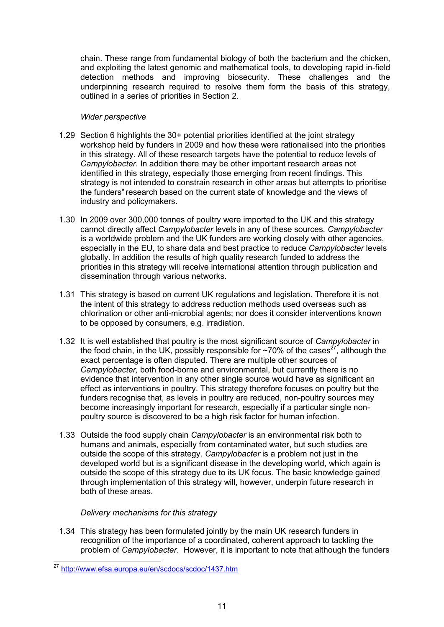chain. These range from fundamental biology of both the bacterium and the chicken, and exploiting the latest genomic and mathematical tools, to developing rapid in-field detection methods and improving biosecurity. These challenges and the underpinning research required to resolve them form the basis of this strategy, outlined in a series of priorities in Section 2.

### *Wider perspective*

- 1.29 Section 6 highlights the 30+ potential priorities identified at the joint strategy workshop held by funders in 2009 and how these were rationalised into the priorities in this strategy. All of these research targets have the potential to reduce levels of *Campylobacter*. In addition there may be other important research areas not identified in this strategy, especially those emerging from recent findings. This strategy is not intended to constrain research in other areas but attempts to prioritise the funders" research based on the current state of knowledge and the views of industry and policymakers.
- 1.30 In 2009 over 300,000 tonnes of poultry were imported to the UK and this strategy cannot directly affect *Campylobacter* levels in any of these sources. *Campylobacter*  is a worldwide problem and the UK funders are working closely with other agencies, especially in the EU, to share data and best practice to reduce *Campylobacter* levels globally. In addition the results of high quality research funded to address the priorities in this strategy will receive international attention through publication and dissemination through various networks.
- 1.31 This strategy is based on current UK regulations and legislation. Therefore it is not the intent of this strategy to address reduction methods used overseas such as chlorination or other anti-microbial agents; nor does it consider interventions known to be opposed by consumers, e.g. irradiation.
- 1.32 It is well established that poultry is the most significant source of *Campylobacter* in the food chain, in the UK, possibly responsible for  $\sim$ 70% of the cases<sup>27</sup>, although the exact percentage is often disputed. There are multiple other sources of *Campylobacter,* both food-borne and environmental, but currently there is no evidence that intervention in any other single source would have as significant an effect as interventions in poultry. This strategy therefore focuses on poultry but the funders recognise that, as levels in poultry are reduced, non-poultry sources may become increasingly important for research, especially if a particular single nonpoultry source is discovered to be a high risk factor for human infection.
- 1.33 Outside the food supply chain *Campylobacter* is an environmental risk both to humans and animals, especially from contaminated water, but such studies are outside the scope of this strategy. *Campylobacter* is a problem not just in the developed world but is a significant disease in the developing world, which again is outside the scope of this strategy due to its UK focus. The basic knowledge gained through implementation of this strategy will, however, underpin future research in both of these areas.

#### *Delivery mechanisms for this strategy*

1.34 This strategy has been formulated jointly by the main UK research funders in recognition of the importance of a coordinated, coherent approach to tackling the problem of *Campylobacter*. However, it is important to note that although the funders

<sup>27</sup> <http://www.efsa.europa.eu/en/scdocs/scdoc/1437.htm>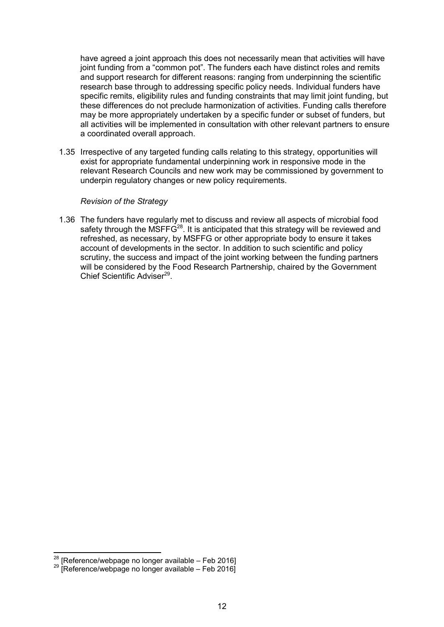have agreed a joint approach this does not necessarily mean that activities will have joint funding from a "common pot". The funders each have distinct roles and remits and support research for different reasons: ranging from underpinning the scientific research base through to addressing specific policy needs. Individual funders have specific remits, eligibility rules and funding constraints that may limit joint funding, but these differences do not preclude harmonization of activities. Funding calls therefore may be more appropriately undertaken by a specific funder or subset of funders, but all activities will be implemented in consultation with other relevant partners to ensure a coordinated overall approach.

1.35 Irrespective of any targeted funding calls relating to this strategy, opportunities will exist for appropriate fundamental underpinning work in responsive mode in the relevant Research Councils and new work may be commissioned by government to underpin regulatory changes or new policy requirements.

#### *Revision of the Strategy*

1.36 The funders have regularly met to discuss and review all aspects of microbial food safety through the MSFFG<sup>28</sup>. It is anticipated that this strategy will be reviewed and refreshed, as necessary, by MSFFG or other appropriate body to ensure it takes account of developments in the sector. In addition to such scientific and policy scrutiny, the success and impact of the joint working between the funding partners will be considered by the Food Research Partnership, chaired by the Government Chief Scientific Adviser<sup>29</sup>.

<sup>28</sup> [Reference/webpage no longer available – Feb 2016]

<sup>&</sup>lt;sup>29</sup> [Reference/webpage no longer available - Feb 2016]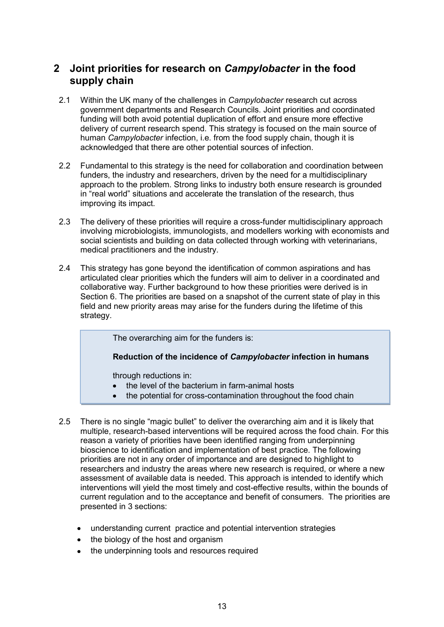# <span id="page-12-0"></span>**2 Joint priorities for research on** *Campylobacter* **in the food supply chain**

- 2.1 Within the UK many of the challenges in *Campylobacter* research cut across government departments and Research Councils. Joint priorities and coordinated funding will both avoid potential duplication of effort and ensure more effective delivery of current research spend. This strategy is focused on the main source of human *Campylobacter* infection, i.e. from the food supply chain, though it is acknowledged that there are other potential sources of infection.
- 2.2 Fundamental to this strategy is the need for collaboration and coordination between funders, the industry and researchers, driven by the need for a multidisciplinary approach to the problem. Strong links to industry both ensure research is grounded in "real world" situations and accelerate the translation of the research, thus improving its impact.
- 2.3 The delivery of these priorities will require a cross-funder multidisciplinary approach involving microbiologists, immunologists, and modellers working with economists and social scientists and building on data collected through working with veterinarians, medical practitioners and the industry.
- 2.4 This strategy has gone beyond the identification of common aspirations and has articulated clear priorities which the funders will aim to deliver in a coordinated and collaborative way. Further background to how these priorities were derived is in Section 6. The priorities are based on a snapshot of the current state of play in this field and new priority areas may arise for the funders during the lifetime of this strategy.

The overarching aim for the funders is:

**Reduction of the incidence of** *Campylobacter* **infection in humans**

through reductions in:

- the level of the bacterium in farm-animal hosts
- $\bullet$ the potential for cross-contamination throughout the food chain
- 2.5 There is no single "magic bullet" to deliver the overarching aim and it is likely that multiple, research-based interventions will be required across the food chain. For this reason a variety of priorities have been identified ranging from underpinning bioscience to identification and implementation of best practice. The following priorities are not in any order of importance and are designed to highlight to researchers and industry the areas where new research is required, or where a new assessment of available data is needed. This approach is intended to identify which interventions will yield the most timely and cost-effective results, within the bounds of current regulation and to the acceptance and benefit of consumers. The priorities are presented in 3 sections:
	- understanding current practice and potential intervention strategies
	- the biology of the host and organism
	- the underpinning tools and resources required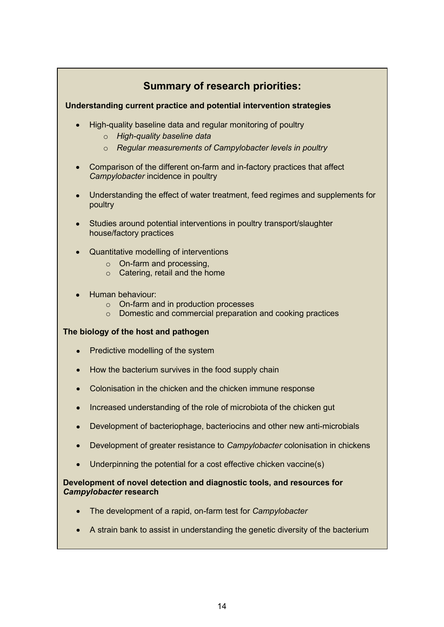# **Summary of research priorities:**

# **Understanding current practice and potential intervention strategies**

- High-quality baseline data and regular monitoring of poultry
	- o *High-quality baseline data*
	- o *Regular measurements of Campylobacter levels in poultry*
- Comparison of the different on-farm and in-factory practices that affect *Campylobacter* incidence in poultry
- Understanding the effect of water treatment, feed regimes and supplements for poultry
- Studies around potential interventions in poultry transport/slaughter house/factory practices
- Quantitative modelling of interventions  $\bullet$ 
	- o On-farm and processing,
	- o Catering, retail and the home
- Human behaviour:
	- o On-farm and in production processes
	- o Domestic and commercial preparation and cooking practices

#### **The biology of the host and pathogen**

- Predictive modelling of the system
- How the bacterium survives in the food supply chain
- Colonisation in the chicken and the chicken immune response
- Increased understanding of the role of microbiota of the chicken gut  $\bullet$
- Development of bacteriophage, bacteriocins and other new anti-microbials  $\bullet$
- Development of greater resistance to *Campylobacter* colonisation in chickens
- Underpinning the potential for a cost effective chicken vaccine(s)

#### **Development of novel detection and diagnostic tools, and resources for**  *Campylobacter* **research**

- The development of a rapid, on-farm test for *Campylobacter*
- A strain bank to assist in understanding the genetic diversity of the bacterium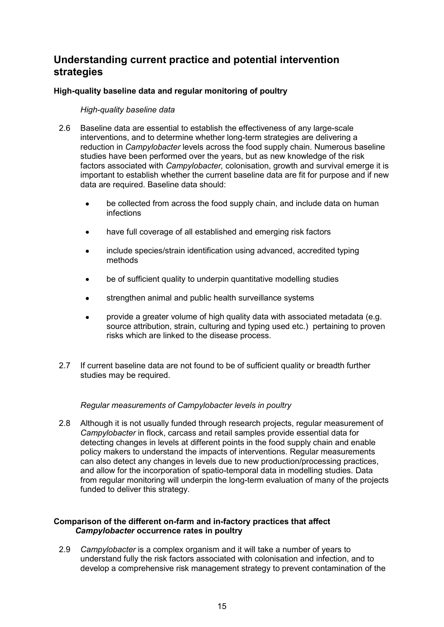# **Understanding current practice and potential intervention strategies**

# **High-quality baseline data and regular monitoring of poultry**

### *High-quality baseline data*

- 2.6 Baseline data are essential to establish the effectiveness of any large-scale interventions, and to determine whether long-term strategies are delivering a reduction in *Campylobacter* levels across the food supply chain. Numerous baseline studies have been performed over the years, but as new knowledge of the risk factors associated with *Campylobacter,* colonisation, growth and survival emerge it is important to establish whether the current baseline data are fit for purpose and if new data are required. Baseline data should:
	- be collected from across the food supply chain, and include data on human infections
	- have full coverage of all established and emerging risk factors
	- include species/strain identification using advanced, accredited typing methods
	- be of sufficient quality to underpin quantitative modelling studies
	- strengthen animal and public health surveillance systems
	- provide a greater volume of high quality data with associated metadata (e.g. source attribution, strain, culturing and typing used etc.) pertaining to proven risks which are linked to the disease process.
- 2.7 If current baseline data are not found to be of sufficient quality or breadth further studies may be required.

#### *Regular measurements of Campylobacter levels in poultry*

2.8 Although it is not usually funded through research projects, regular measurement of *Campylobacter* in flock, carcass and retail samples provide essential data for detecting changes in levels at different points in the food supply chain and enable policy makers to understand the impacts of interventions. Regular measurements can also detect any changes in levels due to new production/processing practices, and allow for the incorporation of spatio-temporal data in modelling studies. Data from regular monitoring will underpin the long-term evaluation of many of the projects funded to deliver this strategy.

#### **Comparison of the different on-farm and in-factory practices that affect**  *Campylobacter* **occurrence rates in poultry**

2.9 *Campylobacter* is a complex organism and it will take a number of years to understand fully the risk factors associated with colonisation and infection, and to develop a comprehensive risk management strategy to prevent contamination of the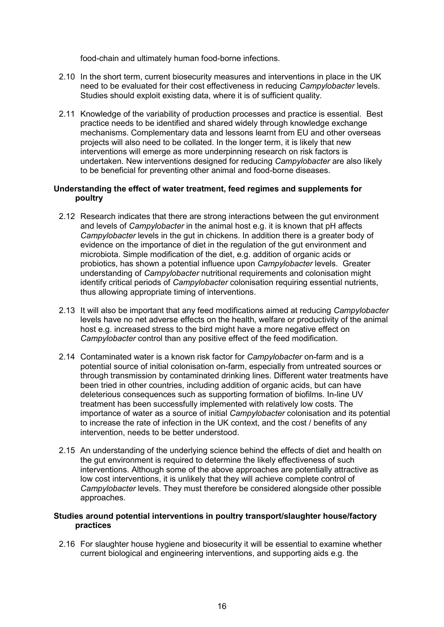food-chain and ultimately human food-borne infections.

- 2.10 In the short term, current biosecurity measures and interventions in place in the UK need to be evaluated for their cost effectiveness in reducing *Campylobacter* levels. Studies should exploit existing data, where it is of sufficient quality.
- 2.11 Knowledge of the variability of production processes and practice is essential. Best practice needs to be identified and shared widely through knowledge exchange mechanisms. Complementary data and lessons learnt from EU and other overseas projects will also need to be collated. In the longer term, it is likely that new interventions will emerge as more underpinning research on risk factors is undertaken. New interventions designed for reducing *Campylobacter* are also likely to be beneficial for preventing other animal and food-borne diseases.

#### **Understanding the effect of water treatment, feed regimes and supplements for poultry**

- 2.12 Research indicates that there are strong interactions between the gut environment and levels of *Campylobacter* in the animal host e.g. it is known that pH affects *Campylobacter* levels in the gut in chickens. In addition there is a greater body of evidence on the importance of diet in the regulation of the gut environment and microbiota. Simple modification of the diet, e.g. addition of organic acids or probiotics, has shown a potential influence upon *Campylobacter* levels. Greater understanding of *Campylobacter* nutritional requirements and colonisation might identify critical periods of *Campylobacter* colonisation requiring essential nutrients, thus allowing appropriate timing of interventions.
- 2.13 It will also be important that any feed modifications aimed at reducing *Campylobacter* levels have no net adverse effects on the health, welfare or productivity of the animal host e.g. increased stress to the bird might have a more negative effect on *Campylobacter* control than any positive effect of the feed modification.
- 2.14 Contaminated water is a known risk factor for *Campylobacter* on-farm and is a potential source of initial colonisation on-farm, especially from untreated sources or through transmission by contaminated drinking lines. Different water treatments have been tried in other countries, including addition of organic acids, but can have deleterious consequences such as supporting formation of biofilms. In-line UV treatment has been successfully implemented with relatively low costs. The importance of water as a source of initial *Campylobacter* colonisation and its potential to increase the rate of infection in the UK context, and the cost / benefits of any intervention, needs to be better understood.
- 2.15 An understanding of the underlying science behind the effects of diet and health on the gut environment is required to determine the likely effectiveness of such interventions. Although some of the above approaches are potentially attractive as low cost interventions, it is unlikely that they will achieve complete control of *Campylobacter* levels. They must therefore be considered alongside other possible approaches.

#### **Studies around potential interventions in poultry transport/slaughter house/factory practices**

2.16 For slaughter house hygiene and biosecurity it will be essential to examine whether current biological and engineering interventions, and supporting aids e.g. the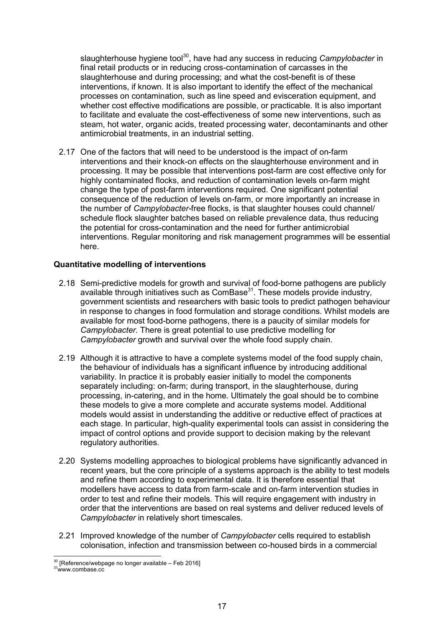slaughterhouse hygiene tool<sup>30</sup>, have had any success in reducing *Campylobacter* in final retail products or in reducing cross-contamination of carcasses in the slaughterhouse and during processing; and what the cost-benefit is of these interventions, if known. It is also important to identify the effect of the mechanical processes on contamination, such as line speed and evisceration equipment, and whether cost effective modifications are possible, or practicable. It is also important to facilitate and evaluate the cost-effectiveness of some new interventions, such as steam, hot water, organic acids, treated processing water, decontaminants and other antimicrobial treatments, in an industrial setting.

2.17 One of the factors that will need to be understood is the impact of on-farm interventions and their knock-on effects on the slaughterhouse environment and in processing. It may be possible that interventions post-farm are cost effective only for highly contaminated flocks, and reduction of contamination levels on-farm might change the type of post*-*farm interventions required. One significant potential consequence of the reduction of levels on-farm, or more importantly an increase in the number of *Campylobacter-*free flocks, is that slaughter houses could channel/ schedule flock slaughter batches based on reliable prevalence data, thus reducing the potential for cross-contamination and the need for further antimicrobial interventions. Regular monitoring and risk management programmes will be essential here.

#### **Quantitative modelling of interventions**

- 2.18 Semi-predictive models for growth and survival of food-borne pathogens are publicly available through initiatives such as ComBase<sup>31</sup>. These models provide industry, government scientists and researchers with basic tools to predict pathogen behaviour in response to changes in food formulation and storage conditions. Whilst models are available for most food-borne pathogens, there is a paucity of similar models for *Campylobacter*. There is great potential to use predictive modelling for *Campylobacter* growth and survival over the whole food supply chain.
- 2.19 Although it is attractive to have a complete systems model of the food supply chain, the behaviour of individuals has a significant influence by introducing additional variability. In practice it is probably easier initially to model the components separately including: on-farm; during transport, in the slaughterhouse, during processing, in-catering, and in the home. Ultimately the goal should be to combine these models to give a more complete and accurate systems model. Additional models would assist in understanding the additive or reductive effect of practices at each stage. In particular, high-quality experimental tools can assist in considering the impact of control options and provide support to decision making by the relevant regulatory authorities.
- 2.20 Systems modelling approaches to biological problems have significantly advanced in recent years, but the core principle of a systems approach is the ability to test models and refine them according to experimental data. It is therefore essential that modellers have access to data from farm-scale and on-farm intervention studies in order to test and refine their models. This will require engagement with industry in order that the interventions are based on real systems and deliver reduced levels of *Campylobacter* in relatively short timescales.
- 2.21 Improved knowledge of the number of *Campylobacter* cells required to establish colonisation, infection and transmission between co-housed birds in a commercial

 $30$  [Reference/webpage no longer available – Feb 2016]

<sup>31</sup> www.combase.cc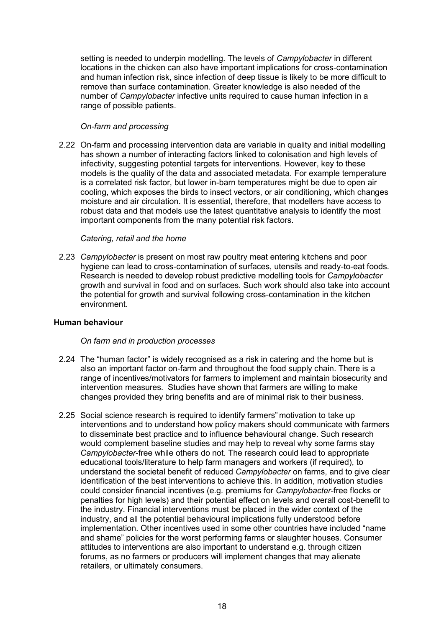setting is needed to underpin modelling. The levels of *Campylobacter* in different locations in the chicken can also have important implications for cross-contamination and human infection risk, since infection of deep tissue is likely to be more difficult to remove than surface contamination. Greater knowledge is also needed of the number of *Campylobacter* infective units required to cause human infection in a range of possible patients.

#### *On-farm and processing*

2.22 On-farm and processing intervention data are variable in quality and initial modelling has shown a number of interacting factors linked to colonisation and high levels of infectivity, suggesting potential targets for interventions. However, key to these models is the quality of the data and associated metadata. For example temperature is a correlated risk factor, but lower in-barn temperatures might be due to open air cooling, which exposes the birds to insect vectors, or air conditioning, which changes moisture and air circulation. It is essential, therefore, that modellers have access to robust data and that models use the latest quantitative analysis to identify the most important components from the many potential risk factors.

#### *Catering, retail and the home*

2.23 *Campylobacter* is present on most raw poultry meat entering kitchens and poor hygiene can lead to cross-contamination of surfaces, utensils and ready-to-eat foods. Research is needed to develop robust predictive modelling tools for *Campylobacter* growth and survival in food and on surfaces. Such work should also take into account the potential for growth and survival following cross-contamination in the kitchen environment.

### **Human behaviour**

#### *On farm and in production processes*

- 2.24 The "human factor" is widely recognised as a risk in catering and the home but is also an important factor on-farm and throughout the food supply chain. There is a range of incentives/motivators for farmers to implement and maintain biosecurity and intervention measures. Studies have shown that farmers are willing to make changes provided they bring benefits and are of minimal risk to their business.
- 2.25 Social science research is required to identify farmers" motivation to take up interventions and to understand how policy makers should communicate with farmers to disseminate best practice and to influence behavioural change. Such research would complement baseline studies and may help to reveal why some farms stay *Campylobacter*-free while others do not. The research could lead to appropriate educational tools/literature to help farm managers and workers (if required), to understand the societal benefit of reduced *Campylobacter* on farms, and to give clear identification of the best interventions to achieve this. In addition, motivation studies could consider financial incentives (e.g. premiums for *Campylobacter*-free flocks or penalties for high levels) and their potential effect on levels and overall cost-benefit to the industry. Financial interventions must be placed in the wider context of the industry, and all the potential behavioural implications fully understood before implementation. Other incentives used in some other countries have included "name and shame" policies for the worst performing farms or slaughter houses. Consumer attitudes to interventions are also important to understand e.g. through citizen forums, as no farmers or producers will implement changes that may alienate retailers, or ultimately consumers.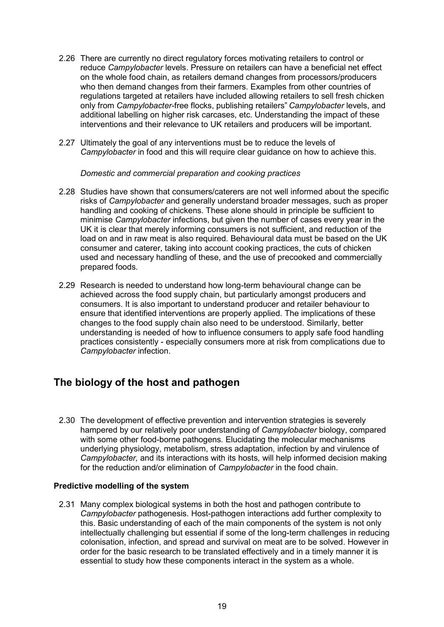- 2.26 There are currently no direct regulatory forces motivating retailers to control or reduce *Campylobacter* levels. Pressure on retailers can have a beneficial net effect on the whole food chain, as retailers demand changes from processors/producers who then demand changes from their farmers. Examples from other countries of regulations targeted at retailers have included allowing retailers to sell fresh chicken only from *Campylobacter*-free flocks, publishing retailers" *Campylobacter* levels, and additional labelling on higher risk carcases, etc. Understanding the impact of these interventions and their relevance to UK retailers and producers will be important.
- 2.27 Ultimately the goal of any interventions must be to reduce the levels of *Campylobacter* in food and this will require clear guidance on how to achieve this.

*Domestic and commercial preparation and cooking practices* 

- 2.28 Studies have shown that consumers/caterers are not well informed about the specific risks of *Campylobacter* and generally understand broader messages, such as proper handling and cooking of chickens. These alone should in principle be sufficient to minimise *Campylobacter* infections, but given the number of cases every year in the UK it is clear that merely informing consumers is not sufficient, and reduction of the load on and in raw meat is also required. Behavioural data must be based on the UK consumer and caterer, taking into account cooking practices, the cuts of chicken used and necessary handling of these, and the use of precooked and commercially prepared foods.
- 2.29 Research is needed to understand how long-term behavioural change can be achieved across the food supply chain, but particularly amongst producers and consumers. It is also important to understand producer and retailer behaviour to ensure that identified interventions are properly applied. The implications of these changes to the food supply chain also need to be understood. Similarly, better understanding is needed of how to influence consumers to apply safe food handling practices consistently - especially consumers more at risk from complications due to *Campylobacter* infection.

# **The biology of the host and pathogen**

2.30 The development of effective prevention and intervention strategies is severely hampered by our relatively poor understanding of *Campylobacter* biology, compared with some other food-borne pathogens. Elucidating the molecular mechanisms underlying physiology, metabolism, stress adaptation, infection by and virulence of *Campylobacter,* and its interactions with its hosts*,* will help informed decision making for the reduction and/or elimination of *Campylobacter* in the food chain.

### **Predictive modelling of the system**

2.31 Many complex biological systems in both the host and pathogen contribute to *Campylobacter* pathogenesis. Host-pathogen interactions add further complexity to this. Basic understanding of each of the main components of the system is not only intellectually challenging but essential if some of the long-term challenges in reducing colonisation, infection, and spread and survival on meat are to be solved. However in order for the basic research to be translated effectively and in a timely manner it is essential to study how these components interact in the system as a whole.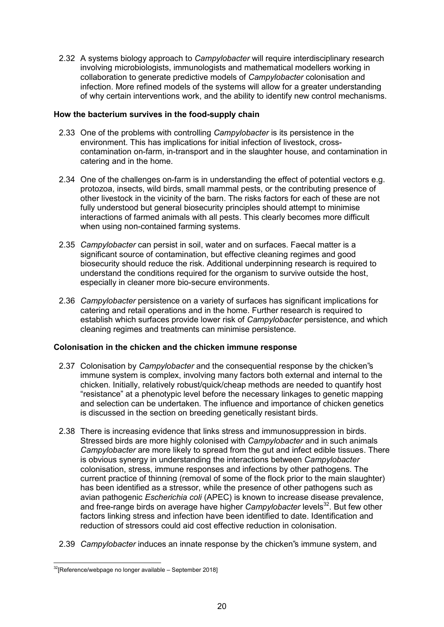2.32 A systems biology approach to *Campylobacter* will require interdisciplinary research involving microbiologists, immunologists and mathematical modellers working in collaboration to generate predictive models of *Campylobacter* colonisation and infection. More refined models of the systems will allow for a greater understanding of why certain interventions work, and the ability to identify new control mechanisms.

#### **How the bacterium survives in the food-supply chain**

- 2.33 One of the problems with controlling *Campylobacter* is its persistence in the environment. This has implications for initial infection of livestock, crosscontamination on-farm, in-transport and in the slaughter house, and contamination in catering and in the home.
- 2.34 One of the challenges on-farm is in understanding the effect of potential vectors e.g. protozoa, insects, wild birds, small mammal pests, or the contributing presence of other livestock in the vicinity of the barn. The risks factors for each of these are not fully understood but general biosecurity principles should attempt to minimise interactions of farmed animals with all pests. This clearly becomes more difficult when using non-contained farming systems.
- 2.35 *Campylobacter* can persist in soil, water and on surfaces. Faecal matter is a significant source of contamination, but effective cleaning regimes and good biosecurity should reduce the risk. Additional underpinning research is required to understand the conditions required for the organism to survive outside the host, especially in cleaner more bio-secure environments.
- 2.36 *Campylobacter* persistence on a variety of surfaces has significant implications for catering and retail operations and in the home. Further research is required to establish which surfaces provide lower risk of *Campylobacter* persistence, and which cleaning regimes and treatments can minimise persistence.

#### **Colonisation in the chicken and the chicken immune response**

- 2.37 Colonisation by *Campylobacter* and the consequential response by the chicken"s immune system is complex, involving many factors both external and internal to the chicken. Initially, relatively robust/quick/cheap methods are needed to quantify host "resistance" at a phenotypic level before the necessary linkages to genetic mapping and selection can be undertaken. The influence and importance of chicken genetics is discussed in the section on breeding genetically resistant birds.
- 2.38 There is increasing evidence that links stress and immunosuppression in birds. Stressed birds are more highly colonised with *Campylobacter* and in such animals *Campylobacter* are more likely to spread from the gut and infect edible tissues. There is obvious synergy in understanding the interactions between *Campylobacter* colonisation, stress, immune responses and infections by other pathogens. The current practice of thinning (removal of some of the flock prior to the main slaughter) has been identified as a stressor, while the presence of other pathogens such as avian pathogenic *Escherichia coli* (APEC) is known to increase disease prevalence, and free-range birds on average have higher *Campylobacter* levels<sup>32</sup>. But few other factors linking stress and infection have been identified to date. Identification and reduction of stressors could aid cost effective reduction in colonisation.
- 2.39 *Campylobacter* induces an innate response by the chicken"s immune system, and

 $32$ [Reference/webpage no longer available – September 2018]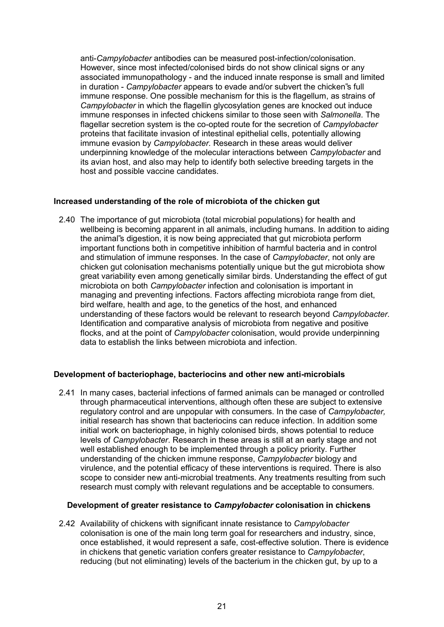anti-*Campylobacter* antibodies can be measured post-infection/colonisation. However, since most infected/colonised birds do not show clinical signs or any associated immunopathology - and the induced innate response is small and limited in duration - *Campylobacter* appears to evade and/or subvert the chicken"s full immune response. One possible mechanism for this is the flagellum, as strains of *Campylobacter* in which the flagellin glycosylation genes are knocked out induce immune responses in infected chickens similar to those seen with *Salmonella*. The flagellar secretion system is the co-opted route for the secretion of *Campylobacter* proteins that facilitate invasion of intestinal epithelial cells, potentially allowing immune evasion by *Campylobacter*. Research in these areas would deliver underpinning knowledge of the molecular interactions between *Campylobacter* and its avian host, and also may help to identify both selective breeding targets in the host and possible vaccine candidates.

#### **Increased understanding of the role of microbiota of the chicken gut**

2.40 The importance of gut microbiota (total microbial populations) for health and wellbeing is becoming apparent in all animals, including humans. In addition to aiding the animal"s digestion, it is now being appreciated that gut microbiota perform important functions both in competitive inhibition of harmful bacteria and in control and stimulation of immune responses. In the case of *Campylobacter*, not only are chicken gut colonisation mechanisms potentially unique but the gut microbiota show great variability even among genetically similar birds. Understanding the effect of gut microbiota on both *Campylobacter* infection and colonisation is important in managing and preventing infections. Factors affecting microbiota range from diet, bird welfare, health and age, to the genetics of the host, and enhanced understanding of these factors would be relevant to research beyond *Campylobacter*. Identification and comparative analysis of microbiota from negative and positive flocks, and at the point of *Campylobacter* colonisation, would provide underpinning data to establish the links between microbiota and infection.

#### **Development of bacteriophage, bacteriocins and other new anti-microbials**

2.41 In many cases, bacterial infections of farmed animals can be managed or controlled through pharmaceutical interventions, although often these are subject to extensive regulatory control and are unpopular with consumers. In the case of *Campylobacter,* initial research has shown that bacteriocins can reduce infection. In addition some initial work on bacteriophage, in highly colonised birds, shows potential to reduce levels of *Campylobacter*. Research in these areas is still at an early stage and not well established enough to be implemented through a policy priority. Further understanding of the chicken immune response, *Campylobacter* biology and virulence, and the potential efficacy of these interventions is required. There is also scope to consider new anti-microbial treatments. Any treatments resulting from such research must comply with relevant regulations and be acceptable to consumers.

#### **Development of greater resistance to** *Campylobacter* **colonisation in chickens**

2.42 Availability of chickens with significant innate resistance to *Campylobacter* colonisation is one of the main long term goal for researchers and industry, since, once established, it would represent a safe, cost-effective solution. There is evidence in chickens that genetic variation confers greater resistance to *Campylobacter*, reducing (but not eliminating) levels of the bacterium in the chicken gut, by up to a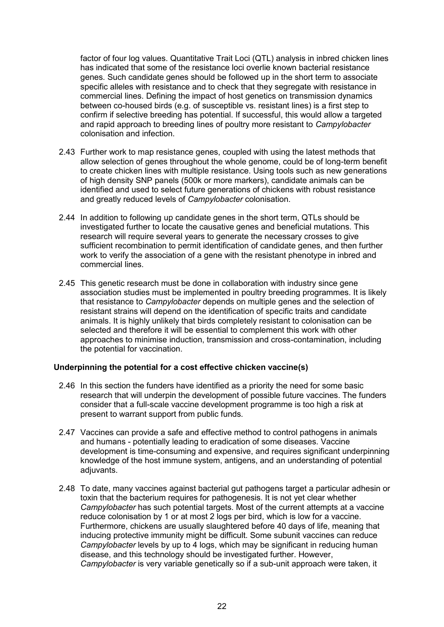factor of four log values. Quantitative Trait Loci (QTL) analysis in inbred chicken lines has indicated that some of the resistance loci overlie known bacterial resistance genes. Such candidate genes should be followed up in the short term to associate specific alleles with resistance and to check that they segregate with resistance in commercial lines. Defining the impact of host genetics on transmission dynamics between co-housed birds (e.g. of susceptible vs. resistant lines) is a first step to confirm if selective breeding has potential. If successful, this would allow a targeted and rapid approach to breeding lines of poultry more resistant to *Campylobacter* colonisation and infection.

- 2.43 Further work to map resistance genes, coupled with using the latest methods that allow selection of genes throughout the whole genome, could be of long-term benefit to create chicken lines with multiple resistance. Using tools such as new generations of high density SNP panels (500k or more markers), candidate animals can be identified and used to select future generations of chickens with robust resistance and greatly reduced levels of *Campylobacter* colonisation.
- 2.44 In addition to following up candidate genes in the short term, QTLs should be investigated further to locate the causative genes and beneficial mutations. This research will require several years to generate the necessary crosses to give sufficient recombination to permit identification of candidate genes, and then further work to verify the association of a gene with the resistant phenotype in inbred and commercial lines.
- 2.45 This genetic research must be done in collaboration with industry since gene association studies must be implemented in poultry breeding programmes. It is likely that resistance to *Campylobacter* depends on multiple genes and the selection of resistant strains will depend on the identification of specific traits and candidate animals. It is highly unlikely that birds completely resistant to colonisation can be selected and therefore it will be essential to complement this work with other approaches to minimise induction, transmission and cross-contamination, including the potential for vaccination.

#### **Underpinning the potential for a cost effective chicken vaccine(s)**

- 2.46 In this section the funders have identified as a priority the need for some basic research that will underpin the development of possible future vaccines. The funders consider that a full-scale vaccine development programme is too high a risk at present to warrant support from public funds.
- 2.47 Vaccines can provide a safe and effective method to control pathogens in animals and humans - potentially leading to eradication of some diseases. Vaccine development is time-consuming and expensive, and requires significant underpinning knowledge of the host immune system, antigens, and an understanding of potential adiuvants.
- 2.48 To date, many vaccines against bacterial gut pathogens target a particular adhesin or toxin that the bacterium requires for pathogenesis. It is not yet clear whether *Campylobacter* has such potential targets. Most of the current attempts at a vaccine reduce colonisation by 1 or at most 2 logs per bird, which is low for a vaccine. Furthermore, chickens are usually slaughtered before 40 days of life, meaning that inducing protective immunity might be difficult. Some subunit vaccines can reduce *Campylobacter* levels by up to 4 logs, which may be significant in reducing human disease, and this technology should be investigated further. However, *Campylobacter* is very variable genetically so if a sub-unit approach were taken, it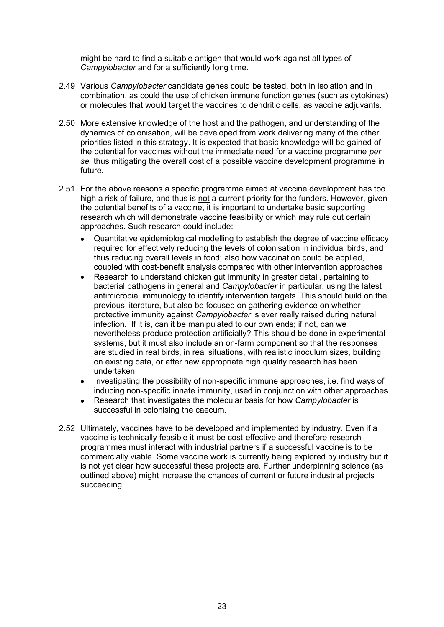might be hard to find a suitable antigen that would work against all types of *Campylobacter* and for a sufficiently long time.

- 2.49 Various *Campylobacter* candidate genes could be tested, both in isolation and in combination, as could the use of chicken immune function genes (such as cytokines) or molecules that would target the vaccines to dendritic cells, as vaccine adjuvants.
- 2.50 More extensive knowledge of the host and the pathogen, and understanding of the dynamics of colonisation, will be developed from work delivering many of the other priorities listed in this strategy. It is expected that basic knowledge will be gained of the potential for vaccines without the immediate need for a vaccine programme *per se,* thus mitigating the overall cost of a possible vaccine development programme in future.
- 2.51 For the above reasons a specific programme aimed at vaccine development has too high a risk of failure, and thus is not a current priority for the funders. However, given the potential benefits of a vaccine, it is important to undertake basic supporting research which will demonstrate vaccine feasibility or which may rule out certain approaches. Such research could include:
	- Quantitative epidemiological modelling to establish the degree of vaccine efficacy required for effectively reducing the levels of colonisation in individual birds, and thus reducing overall levels in food; also how vaccination could be applied, coupled with cost-benefit analysis compared with other intervention approaches
	- Research to understand chicken gut immunity in greater detail, pertaining to bacterial pathogens in general and *Campylobacter* in particular, using the latest antimicrobial immunology to identify intervention targets. This should build on the previous literature, but also be focused on gathering evidence on whether protective immunity against *Campylobacter* is ever really raised during natural infection. If it is, can it be manipulated to our own ends; if not, can we nevertheless produce protection artificially? This should be done in experimental systems, but it must also include an on-farm component so that the responses are studied in real birds, in real situations, with realistic inoculum sizes, building on existing data, or after new appropriate high quality research has been undertaken.
	- Investigating the possibility of non-specific immune approaches, i.e. find ways of inducing non-specific innate immunity, used in conjunction with other approaches
	- Research that investigates the molecular basis for how *Campylobacter* is successful in colonising the caecum.
- 2.52 Ultimately, vaccines have to be developed and implemented by industry. Even if a vaccine is technically feasible it must be cost-effective and therefore research programmes must interact with industrial partners if a successful vaccine is to be commercially viable. Some vaccine work is currently being explored by industry but it is not yet clear how successful these projects are. Further underpinning science (as outlined above) might increase the chances of current or future industrial projects succeeding.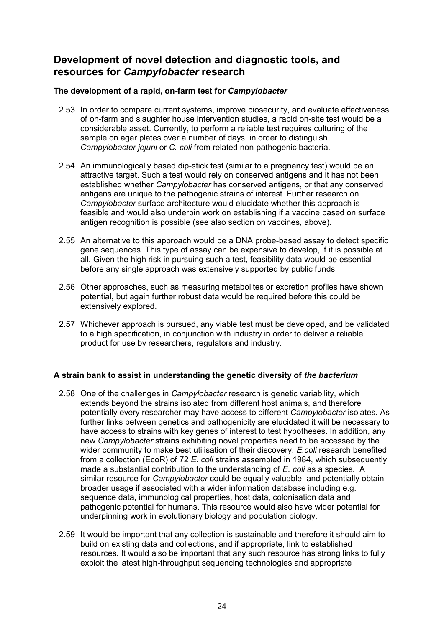# **Development of novel detection and diagnostic tools, and resources for** *Campylobacter* **research**

### **The development of a rapid, on-farm test for** *Campylobacter*

- 2.53 In order to compare current systems, improve biosecurity, and evaluate effectiveness of on-farm and slaughter house intervention studies, a rapid on-site test would be a considerable asset. Currently, to perform a reliable test requires culturing of the sample on agar plates over a number of days, in order to distinguish *Campylobacter jejuni* or *C. coli* from related non-pathogenic bacteria.
- 2.54 An immunologically based dip-stick test (similar to a pregnancy test) would be an attractive target. Such a test would rely on conserved antigens and it has not been established whether *Campylobacter* has conserved antigens, or that any conserved antigens are unique to the pathogenic strains of interest. Further research on *Campylobacter* surface architecture would elucidate whether this approach is feasible and would also underpin work on establishing if a vaccine based on surface antigen recognition is possible (see also section on vaccines, above).
- 2.55 An alternative to this approach would be a DNA probe-based assay to detect specific gene sequences. This type of assay can be expensive to develop, if it is possible at all. Given the high risk in pursuing such a test, feasibility data would be essential before any single approach was extensively supported by public funds.
- 2.56 Other approaches, such as measuring metabolites or excretion profiles have shown potential, but again further robust data would be required before this could be extensively explored.
- 2.57 Whichever approach is pursued, any viable test must be developed, and be validated to a high specification, in conjunction with industry in order to deliver a reliable product for use by researchers, regulators and industry.

#### **A strain bank to assist in understanding the genetic diversity of** *the bacterium*

- 2.58 One of the challenges in *Campylobacter* research is genetic variability, which extends beyond the strains isolated from different host animals, and therefore potentially every researcher may have access to different *Campylobacter* isolates. As further links between genetics and pathogenicity are elucidated it will be necessary to have access to strains with key genes of interest to test hypotheses. In addition, any new *Campylobacter* strains exhibiting novel properties need to be accessed by the wider community to make best utilisation of their discovery. *E.coli* research benefited from a collection (EcoR) of 72 *E. coli* strains assembled in 1984, which subsequently made a substantial contribution to the understanding of *E. coli* as a species. A similar resource for *Campylobacter* could be equally valuable, and potentially obtain broader usage if associated with a wider information database including e.g. sequence data, immunological properties, host data, colonisation data and pathogenic potential for humans. This resource would also have wider potential for underpinning work in evolutionary biology and population biology.
- 2.59 It would be important that any collection is sustainable and therefore it should aim to build on existing data and collections, and if appropriate, link to established resources. It would also be important that any such resource has strong links to fully exploit the latest high-throughput sequencing technologies and appropriate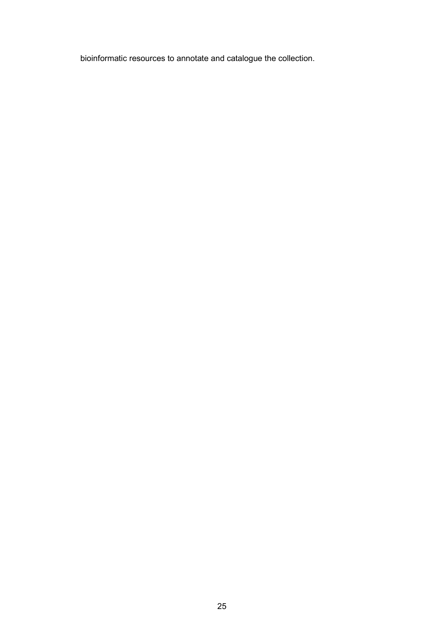bioinformatic resources to annotate and catalogue the collection.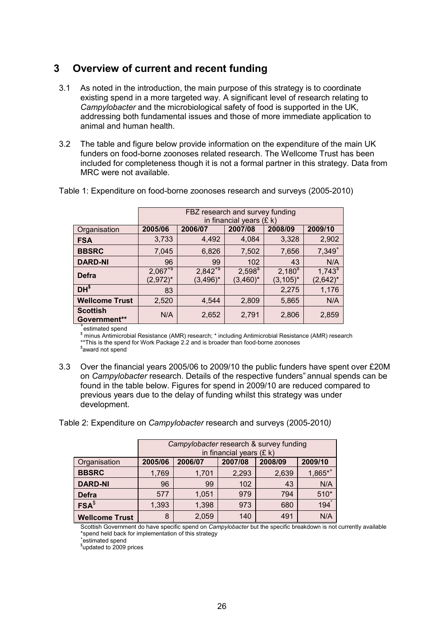# <span id="page-25-0"></span>**3 Overview of current and recent funding**

- 3.1 As noted in the introduction, the main purpose of this strategy is to coordinate existing spend in a more targeted way. A significant level of research relating to *Campylobacter* and the microbiological safety of food is supported in the UK, addressing both fundamental issues and those of more immediate application to animal and human health.
- 3.2 The table and figure below provide information on the expenditure of the main UK funders on food-borne zoonoses related research. The Wellcome Trust has been included for completeness though it is not a formal partner in this strategy. Data from MRC were not available.

|                                 | FBZ research and survey funding<br>in financial years $(E k)$ |                              |                             |                              |                                |
|---------------------------------|---------------------------------------------------------------|------------------------------|-----------------------------|------------------------------|--------------------------------|
| Organisation                    | 2005/06                                                       | 2006/07                      | 2007/08                     | 2008/09                      | 2009/10                        |
| <b>FSA</b>                      | 3,733                                                         | 4,492                        | 4,084                       | 3,328                        | 2,902                          |
| <b>BBSRC</b>                    | 7,045                                                         | 6,826                        | 7,502                       | 7,656                        | $7,349^{+}$                    |
| <b>DARD-NI</b>                  | 96                                                            | 99                           | 102                         | 43                           | N/A                            |
| <b>Defra</b>                    | $2,067^{+5}$<br>$(2,972)^*$                                   | $2,842^{+5}$<br>$(3, 496)^*$ | $2,598^{\$}$<br>$(3,460)^*$ | $2,180^{\$}$<br>$(3, 105)^*$ | $1,743^{\circ}$<br>$(2,642)^*$ |
| $DH^{\$}$                       | 83                                                            |                              |                             | 2,275                        | 1,176                          |
| <b>Wellcome Trust</b>           | 2,520                                                         | 4,544                        | 2,809                       | 5,865                        | N/A                            |
| <b>Scottish</b><br>Government** | N/A                                                           | 2,652                        | 2,791                       | 2,806                        | 2,859                          |

Table 1: Expenditure on food-borne zoonoses research and surveys (2005-2010)

+ estimated spend

 $\,^{\$}$ minus Antimicrobial Resistance (AMR) research; \* including Antimicrobial Resistance (AMR) research \*\*This is the spend for Work Package 2.2 and is broader than food-borne zoonoses

\$ award not spend

3.3 Over the financial years 2005/06 to 2009/10 the public funders have spent over £20M on *Campylobacter* research. Details of the respective funders" annual spends can be found in the table below. Figures for spend in 2009/10 are reduced compared to previous years due to the delay of funding whilst this strategy was under development.

Table 2: Expenditure on *Campylobacter* research and surveys (2005-2010*)* 

|                       | Campylobacter research & survey funding<br>in financial years $(E k)$ |         |         |         |                        |
|-----------------------|-----------------------------------------------------------------------|---------|---------|---------|------------------------|
| Organisation          | 2005/06                                                               | 2006/07 | 2007/08 | 2008/09 | 2009/10                |
| <b>BBSRC</b>          | 1,769                                                                 | 1,701   | 2,293   | 2,639   | $1,865$ * <sup>+</sup> |
| <b>DARD-NI</b>        | 96                                                                    | 99      | 102     | 43      | N/A                    |
| <b>Defra</b>          | 577                                                                   | 1,051   | 979     | 794     | $510*$                 |
| FSA <sup>§</sup>      | 1,393                                                                 | 1,398   | 973     | 680     | 194                    |
| <b>Wellcome Trust</b> | 8                                                                     | 2,059   | 140     | 491     | N/A                    |

Scottish Government do have specific spend on *Campylobacter* but the specific breakdown is not currently available \*spend held back for implementation of this strategy

\*estimated spend

\$ updated to 2009 prices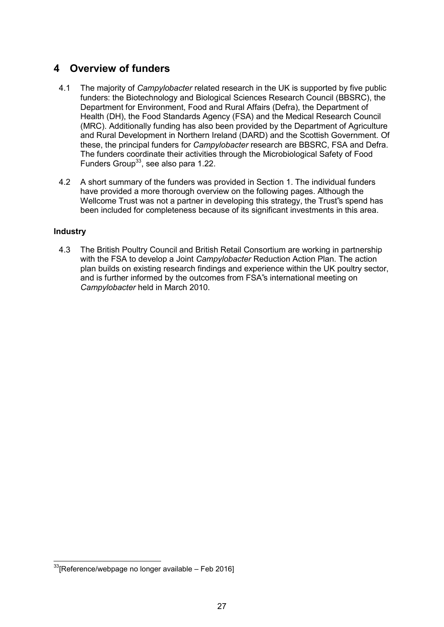# <span id="page-26-0"></span>**4 Overview of funders**

- 4.1 The majority of *Campylobacter* related research in the UK is supported by five public funders: the Biotechnology and Biological Sciences Research Council (BBSRC), the Department for Environment, Food and Rural Affairs (Defra), the Department of Health (DH), the Food Standards Agency (FSA) and the Medical Research Council (MRC). Additionally funding has also been provided by the Department of Agriculture and Rural Development in Northern Ireland (DARD) and the Scottish Government. Of these, the principal funders for *Campylobacter* research are BBSRC, FSA and Defra. The funders coordinate their activities through the Microbiological Safety of Food Funders Group<sup>33</sup>, see also para 1.22.
- 4.2 A short summary of the funders was provided in Section 1. The individual funders have provided a more thorough overview on the following pages. Although the Wellcome Trust was not a partner in developing this strategy, the Trust"s spend has been included for completeness because of its significant investments in this area.

### **Industry**

4.3 The British Poultry Council and British Retail Consortium are working in partnership with the FSA to develop a Joint *Campylobacter* Reduction Action Plan. The action plan builds on existing research findings and experience within the UK poultry sector, and is further informed by the outcomes from FSA"s international meeting on *Campylobacter* held in March 2010.

 $33$  [Reference/webpage no longer available – Feb 2016]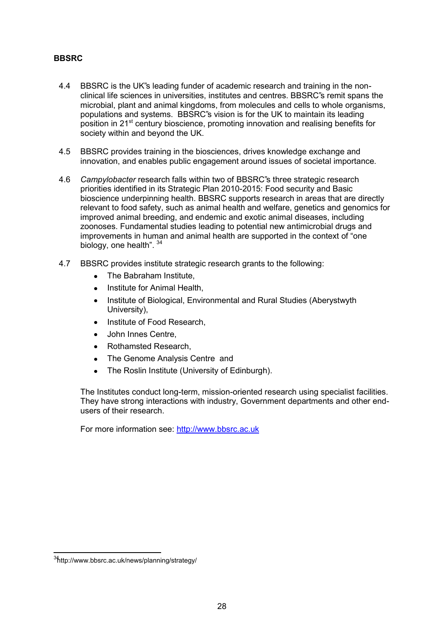### **BBSRC**

- 4.4 BBSRC is the UK"s leading funder of academic research and training in the nonclinical life sciences in universities, institutes and centres. BBSRC"s remit spans the microbial, plant and animal kingdoms, from molecules and cells to whole organisms, populations and systems. BBSRC"s vision is for the UK to maintain its leading position in 21<sup>st</sup> century bioscience, promoting innovation and realising benefits for society within and beyond the UK.
- 4.5 BBSRC provides training in the biosciences, drives knowledge exchange and innovation, and enables public engagement around issues of societal importance.
- 4.6 *Campylobacter* research falls within two of BBSRC"s three strategic research priorities identified in its Strategic Plan 2010-2015: Food security and Basic bioscience underpinning health. BBSRC supports research in areas that are directly relevant to food safety, such as animal health and welfare, genetics and genomics for improved animal breeding, and endemic and exotic animal diseases, including zoonoses. Fundamental studies leading to potential new antimicrobial drugs and improvements in human and animal health are supported in the context of "one biology, one health". 34
- 4.7 BBSRC provides institute strategic research grants to the following:
	- The Babraham Institute,
	- Institute for Animal Health,
	- Institute of Biological, Environmental and Rural Studies (Aberystwyth University),
	- Institute of Food Research,
	- John Innes Centre,
	- Rothamsted Research,
	- The Genome Analysis Centre and  $\bullet$
	- The Roslin Institute (University of Edinburgh).  $\bullet$

The Institutes conduct long-term, mission-oriented research using specialist facilities. They have strong interactions with industry, Government departments and other endusers of their research.

For more information see: [http://www.bbsrc.ac.uk](http://www.bbsrc.ac.uk/)

<sup>34</sup><http://www.bbsrc.ac.uk/news/planning/strategy/>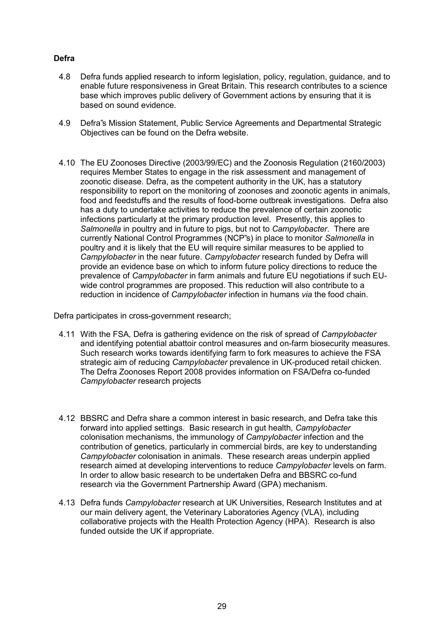### **Defra**

- 4.8 Defra funds applied research to inform legislation, policy, regulation, guidance, and to enable future responsiveness in Great Britain. This research contributes to a science base which improves public delivery of Government actions by ensuring that it is based on sound evidence.
- 4.9 Defra"s Mission Statement, Public Service Agreements and Departmental Strategic Objectives can be found on the Defra website.
- 4.10 The EU Zoonoses Directive (2003/99/EC) and the Zoonosis Regulation (2160/2003) requires Member States to engage in the risk assessment and management of zoonotic disease. Defra, as the competent authority in the UK, has a statutory responsibility to report on the monitoring of zoonoses and zoonotic agents in animals, food and feedstuffs and the results of food-borne outbreak investigations. Defra also has a duty to undertake activities to reduce the prevalence of certain zoonotic infections particularly at the primary production level. Presently, this applies to *Salmonella* in poultry and in future to pigs, but not to *Campylobacter*. There are currently National Control Programmes (NCP"s) in place to monitor *Salmonella* in poultry and it is likely that the EU will require similar measures to be applied to *Campylobacter* in the near future. *Campylobacter* research funded by Defra will provide an evidence base on which to inform future policy directions to reduce the prevalence of *Campylobacter* in farm animals and future EU negotiations if such EUwide control programmes are proposed. This reduction will also contribute to a reduction in incidence of *Campylobacter* infection in humans *via* the food chain.

Defra participates in cross-government research;

- 4.11 With the FSA, Defra is gathering evidence on the risk of spread of *Campylobacter* and identifying potential abattoir control measures and on-farm biosecurity measures. Such research works towards identifying farm to fork measures to achieve the FSA strategic aim of reducing *Campylobacter* prevalence in UK-produced retail chicken. The Defra Zoonoses Report 2008 provides information on FSA/Defra co-funded *Campylobacter* research projects
- 4.12 BBSRC and Defra share a common interest in basic research, and Defra take this forward into applied settings. Basic research in gut health, *Campylobacter* colonisation mechanisms, the immunology of *Campylobacter* infection and the contribution of genetics, particularly in commercial birds, are key to understanding *Campylobacter* colonisation in animals. These research areas underpin applied research aimed at developing interventions to reduce *Campylobacter* levels on farm. In order to allow basic research to be undertaken Defra and BBSRC co-fund research via the Government Partnership Award (GPA) mechanism.
- 4.13 Defra funds *Campylobacter* research at UK Universities, Research Institutes and at our main delivery agent, the Veterinary Laboratories Agency (VLA), including collaborative projects with the Health Protection Agency (HPA). Research is also funded outside the UK if appropriate.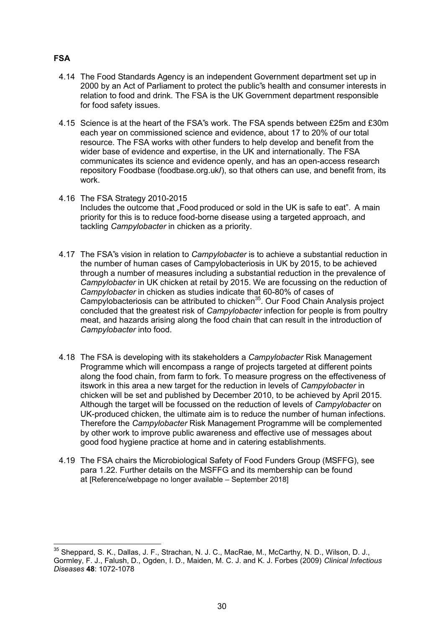- 4.14 The Food Standards Agency is an independent Government department set up in 2000 by an Act of Parliament to protect the public"s health and consumer interests in relation to food and drink. The FSA is the UK Government department responsible for food safety issues.
- 4.15 Science is at the heart of the FSA"s work. The FSA spends between £25m and £30m each year on commissioned science and evidence, about 17 to 20% of our total resource. The FSA works with other funders to help develop and benefit from the wider base of evidence and expertise, in the UK and internationally. The FSA communicates its science and evidence openly, and has an open-access research repository Foodbase (foodbase.org.uk**/**), so that others can use, and benefit from, its work.
- 4.16 The FSA Strategy 2010-2015 Includes the outcome that "Food produced or sold in the UK is safe to eat". A main priority for this is to reduce food-borne disease using a targeted approach, and tackling *Campylobacter* in chicken as a priority.
- 4.17 The FSA"s vision in relation to *Campylobacter* is to achieve a substantial reduction in the number of human cases of Campylobacteriosis in UK by 2015, to be achieved through a number of measures including a substantial reduction in the prevalence of *Campylobacter* in UK chicken at retail by 2015. We are focussing on the reduction of *Campylobacter* in chicken as studies indicate that 60-80% of cases of Campylobacteriosis can be attributed to chicken<sup>35</sup>. Our Food Chain Analysis project concluded that the greatest risk of *Campylobacter* infection for people is from poultry meat, and hazards arising along the food chain that can result in the introduction of *Campylobacter* into food.
- 4.18 The FSA is developing with its stakeholders a *Campylobacter* Risk Management Programme which will encompass a range of projects targeted at different points along the food chain, from farm to fork. To measure progress on the effectiveness of itswork in this area a new target for the reduction in levels of *Campylobacter* in chicken will be set and published by December 2010, to be achieved by April 2015. Although the target will be focussed on the reduction of levels of *Campylobacter* on UK-produced chicken, the ultimate aim is to reduce the number of human infections. Therefore the *Campylobacter* Risk Management Programme will be complemented by other work to improve public awareness and effective use of messages about good food hygiene practice at home and in catering establishments.
- 4.19 The FSA chairs the Microbiological Safety of Food Funders Group (MSFFG), see para 1.22. Further details on the MSFFG and its membership can be found at [Reference/webpage no longer available – September 2018]

### **FSA**

<sup>35</sup> Sheppard, S. K., Dallas, J. F., Strachan, N. J. C., MacRae, M., McCarthy, N. D., Wilson, D. J., Gormley, F. J., Falush, D., Ogden, I. D., Maiden, M. C. J. and K. J. Forbes (2009) *Clinical Infectious Diseases* **48**: 1072-1078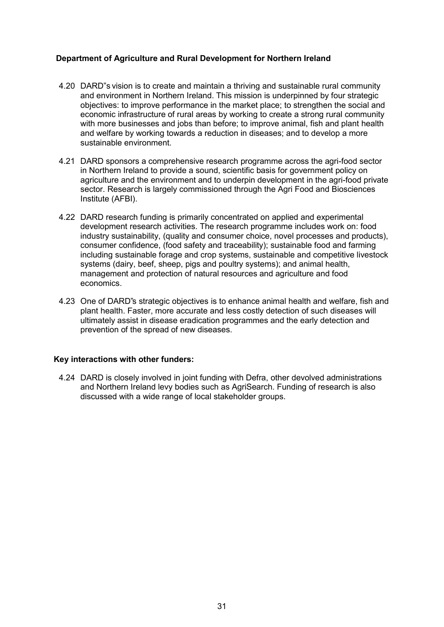### **Department of Agriculture and Rural Development for Northern Ireland**

- 4.20 DARD"s vision is to create and maintain a thriving and sustainable rural community and environment in Northern Ireland. This mission is underpinned by four strategic objectives: to improve performance in the market place; to strengthen the social and economic infrastructure of rural areas by working to create a strong rural community with more businesses and jobs than before; to improve animal, fish and plant health and welfare by working towards a reduction in diseases; and to develop a more sustainable environment.
- 4.21 DARD sponsors a comprehensive research programme across the agri-food sector in Northern Ireland to provide a sound, scientific basis for government policy on agriculture and the environment and to underpin development in the agri-food private sector. Research is largely commissioned through the Agri Food and Biosciences Institute (AFBI).
- 4.22 DARD research funding is primarily concentrated on applied and experimental development research activities. The research programme includes work on: food industry sustainability, (quality and consumer choice, novel processes and products), consumer confidence, (food safety and traceability); sustainable food and farming including sustainable forage and crop systems, sustainable and competitive livestock systems (dairy, beef, sheep, pigs and poultry systems); and animal health, management and protection of natural resources and agriculture and food economics.
- 4.23 One of DARD"s strategic objectives is to enhance animal health and welfare, fish and plant health. Faster, more accurate and less costly detection of such diseases will ultimately assist in disease eradication programmes and the early detection and prevention of the spread of new diseases.

#### **Key interactions with other funders:**

4.24 DARD is closely involved in joint funding with Defra, other devolved administrations and Northern Ireland levy bodies such as AgriSearch. Funding of research is also discussed with a wide range of local stakeholder groups.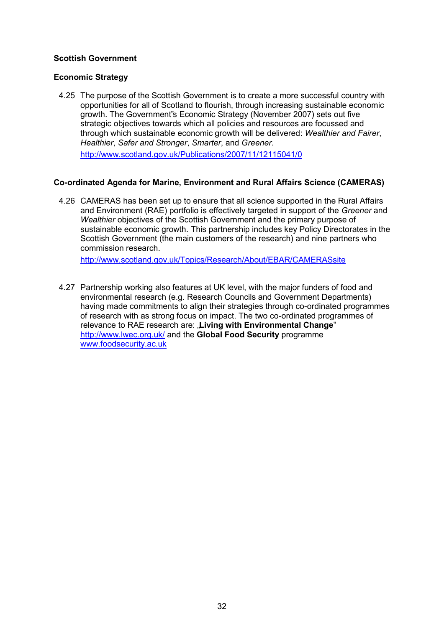### **Scottish Government**

### **Economic Strategy**

4.25 The purpose of the Scottish Government is to create a more successful country with opportunities for all of Scotland to flourish, through increasing sustainable economic growth. The Government"s Economic Strategy (November 2007) sets out five strategic objectives towards which all policies and resources are focussed and through which sustainable economic growth will be delivered: *Wealthier and Fairer*, *Healthier*, *Safer and Stronger*, *Smarter*, and *Greener*.

<http://www.scotland.gov.uk/Publications/2007/11/12115041/0>

### **Co-ordinated Agenda for Marine, Environment and Rural Affairs Science (CAMERAS)**

4.26 CAMERAS has been set up to ensure that all science supported in the Rural Affairs and Environment (RAE) portfolio is effectively targeted in support of the *Greener* and *Wealthier* objectives of the Scottish Government and the primary purpose of sustainable economic growth. This partnership includes key Policy Directorates in the Scottish Government (the main customers of the research) and nine partners who commission research.

<http://www.scotland.gov.uk/Topics/Research/About/EBAR/CAMERASsite>

4.27 Partnership working also features at UK level, with the major funders of food and environmental research (e.g. Research Councils and Government Departments) having made commitments to align their strategies through co-ordinated programmes of research with as strong focus on impact. The two co-ordinated programmes of relevance to RAE research are: "**Living with Environmental Change**" <http://www.lwec.org.uk/>and the **Global Food Security** programme [www.foodsecurity.ac.uk](http://www.foodsecurity.ac.uk/)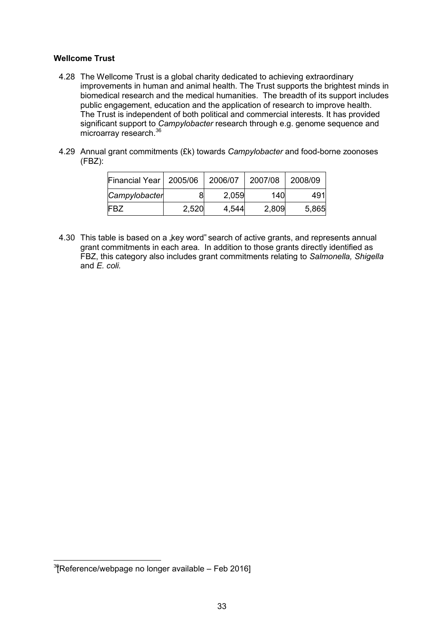#### **Wellcome Trust**

- 4.28 The Wellcome Trust is a global charity dedicated to achieving extraordinary improvements in human and animal health. The Trust supports the brightest minds in biomedical research and the medical humanities. The breadth of its support includes public engagement, education and the application of research to improve health. The Trust is independent of both political and commercial interests. It has provided significant support to *Campylobacter* research through e.g. genome sequence and microarray research.<sup>36</sup>
- 4.29 Annual grant commitments (£k) towards *Campylobacter* and food-borne zoonoses (FBZ):

| Financial Year   2005/06 |       | 2006/07 | 2007/08 | 2008/09 |
|--------------------------|-------|---------|---------|---------|
| Campylobacter            | 8     | 2,059   | 140     | 491     |
| <b>FBZ</b>               | 2,520 | 4,544   | 2,809   | 5,865   |

4.30 This table is based on a "key word" search of active grants, and represents annual grant commitments in each area. In addition to those grants directly identified as FBZ, this category also includes grant commitments relating to *Salmonella, Shigella*  and *E. coli.*

 $3$  $R$ eference/webpage no longer available – Feb 2016]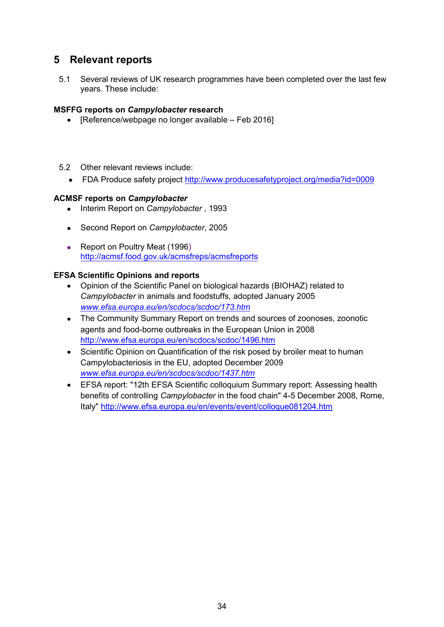# <span id="page-33-0"></span>**5 Relevant reports**

5.1 Several reviews of UK research programmes have been completed over the last few years. These include:

### **MSFFG reports on** *Campylobacter* **research**

- [Reference/webpage no longer available Feb 2016]
- 5.2 Other relevant reviews include:
	- FDA Produce safety project<http://www.producesafetyproject.org/media?id=0009>

### **ACMSF reports on** *Campylobacter*

- Interim Report on *Campylobacter*, 1993
- Second Report on *Campylobacter*, 2005
- Report on Poultry Meat (1996) <http://acmsf.food.gov.uk/acmsfreps/acmsfreports>

### **EFSA Scientific Opinions and reports**

- Opinion of the Scientific Panel on biological hazards (BIOHAZ) related to *Campylobacter* in animals and foodstuffs, adopted January 2005 *[www.efsa.europa.eu/en/scdocs/scdoc/173.htm](http://www.efsa.europa.eu/en/scdocs/scdoc/173.htm)*
- The Community Summary Report on trends and sources of zoonoses, zoonotic agents and food-borne outbreaks in the European Union in 2008 <http://www.efsa.europa.eu/en/scdocs/scdoc/1496.htm>
- Scientific Opinion on Quantification of the risk posed by broiler meat to human Campylobacteriosis in the EU, adopted December 2009 *[www.efsa.europa.eu/en/scdocs/scdoc/1437.htm](http://www.efsa.europa.eu/en/scdocs/scdoc/1437.htm)*
- EFSA report: "12th EFSA Scientific colloquium Summary report: Assessing health benefits of controlling *Campylobacter* in the food chain" 4-5 December 2008, Rome, Italy"<http://www.efsa.europa.eu/en/events/event/colloque081204.htm>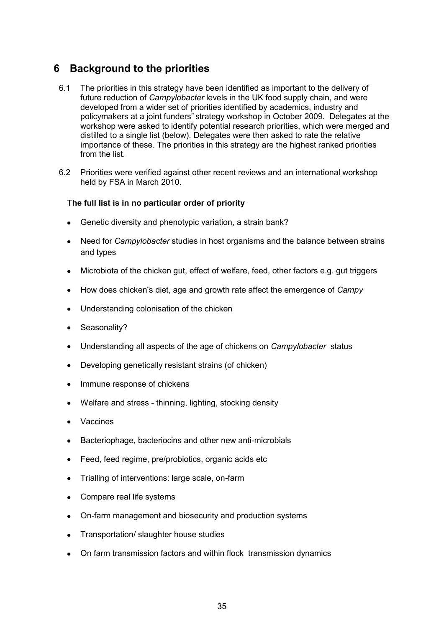# <span id="page-34-0"></span>**6 Background to the priorities**

- 6.1 The priorities in this strategy have been identified as important to the delivery of future reduction of *Campylobacter* levels in the UK food supply chain, and were developed from a wider set of priorities identified by academics, industry and policymakers at a joint funders" strategy workshop in October 2009. Delegates at the workshop were asked to identify potential research priorities, which were merged and distilled to a single list (below). Delegates were then asked to rate the relative importance of these. The priorities in this strategy are the highest ranked priorities from the list.
- 6.2 Priorities were verified against other recent reviews and an international workshop held by FSA in March 2010.

#### T**he full list is in no particular order of priority**

- Genetic diversity and phenotypic variation, a strain bank?
- Need for *Campylobacter* studies in host organisms and the balance between strains and types
- Microbiota of the chicken gut, effect of welfare, feed, other factors e.g. gut triggers
- How does chicken"s diet, age and growth rate affect the emergence of *Campy*
- Understanding colonisation of the chicken
- Seasonality?
- Understanding all aspects of the age of chickens on *Campylobacter* status
- Developing genetically resistant strains (of chicken)
- Immune response of chickens
- Welfare and stress thinning, lighting, stocking density
- Vaccines
- Bacteriophage, bacteriocins and other new anti-microbials
- Feed, feed regime, pre/probiotics, organic acids etc
- Trialling of interventions: large scale, on-farm
- Compare real life systems
- On-farm management and biosecurity and production systems
- Transportation/ slaughter house studies
- On farm transmission factors and within flock transmission dynamics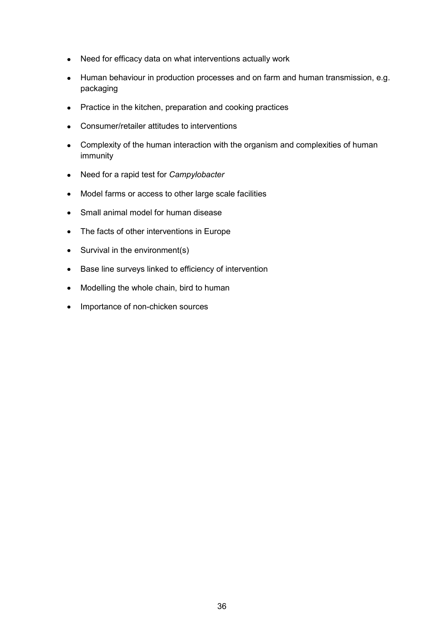- Need for efficacy data on what interventions actually work
- Human behaviour in production processes and on farm and human transmission, e.g. packaging
- Practice in the kitchen, preparation and cooking practices
- Consumer/retailer attitudes to interventions
- Complexity of the human interaction with the organism and complexities of human immunity
- Need for a rapid test for *Campylobacter*
- Model farms or access to other large scale facilities
- Small animal model for human disease
- The facts of other interventions in Europe
- Survival in the environment(s)
- Base line surveys linked to efficiency of intervention
- Modelling the whole chain, bird to human
- Importance of non-chicken sources